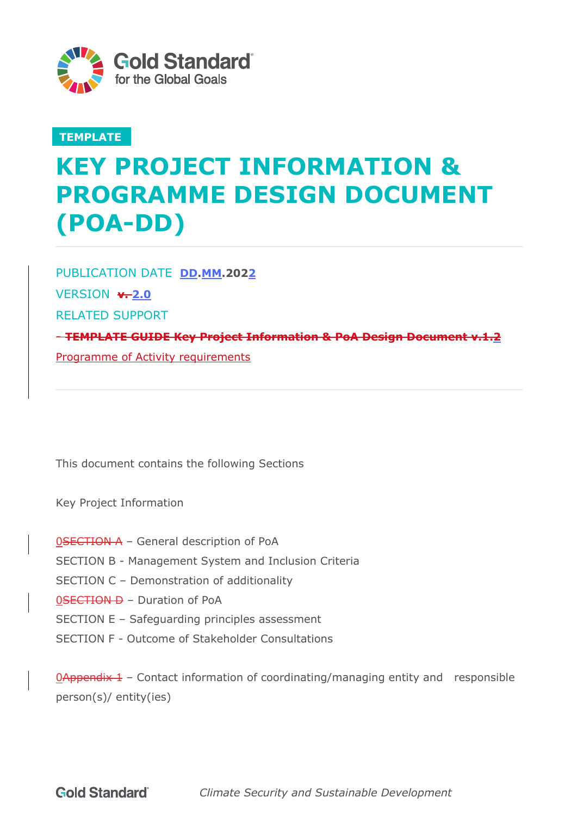

## **TEMPLATE**

# **KEY PROJECT INFORMATION & PROGRAMME DESIGN DOCUMENT (POA-DD)**

PUBLICATION DATE **DD.MM.2022 VERSION +2.0** RELATED SUPPORT - **TEMPLATE GUIDE Key Project Information & PoA Design Document v.1.2** Programme of Activity requirements

This document contains the following Sections

Key Project Information

- 0SECTION A General description of PoA
- SECTION B Management System and Inclusion Criteria
- SECTION C Demonstration of additionality
- 0SECTION D Duration of PoA
- SECTION E Safeguarding principles assessment
- SECTION F Outcome of Stakeholder Consultations

 $Q$ Appendix 1 – Contact information of coordinating/managing entity and responsible person(s)/ entity(ies)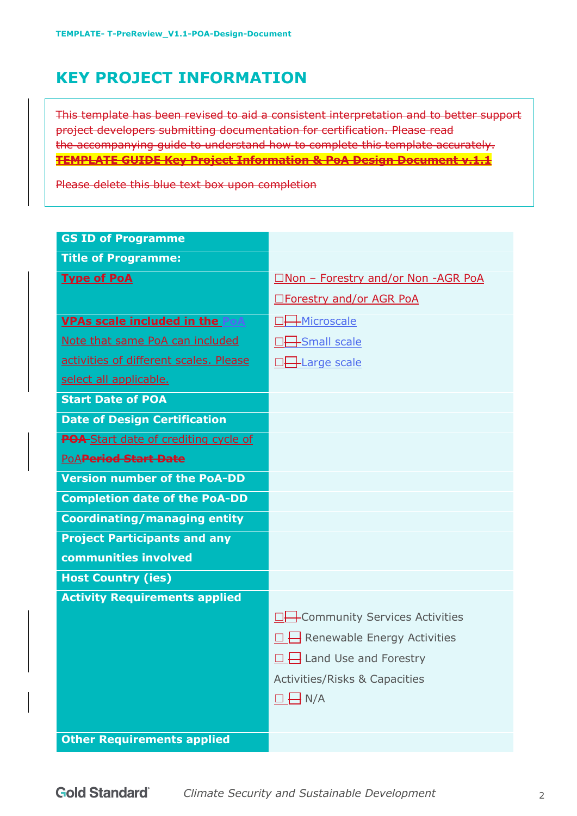## **KEY PROJECT INFORMATION**

This template has been revised to aid a consistent interpretation and to better support project developers submitting documentation for certification. Please read the accompanying guide to understand how to complete this template accurately. **TEMPLATE GUIDE Key Project Information & PoA Design Document v.1.1**

Please delete this blue text box upon completion

| <b>GS ID of Programme</b>              |                                          |
|----------------------------------------|------------------------------------------|
| <b>Title of Programme:</b>             |                                          |
| <b>Type of PoA</b>                     | □Non - Forestry and/or Non -AGR PoA      |
|                                        | <b>Interestry and/or AGR PoA</b>         |
| <b>VPAs scale included in the PoA</b>  | $\pm$ Microscale                         |
| Note that same PoA can included        | $\frac{1}{2}$ Small scale                |
| activities of different scales. Please | <b>Harge scale</b>                       |
| select all applicable.                 |                                          |
| <b>Start Date of POA</b>               |                                          |
| <b>Date of Design Certification</b>    |                                          |
| POA-Start date of crediting cycle of   |                                          |
| PoAPeriod Start Date                   |                                          |
| <b>Version number of the PoA-DD</b>    |                                          |
| <b>Completion date of the PoA-DD</b>   |                                          |
| <b>Coordinating/managing entity</b>    |                                          |
| <b>Project Participants and any</b>    |                                          |
| communities involved                   |                                          |
| <b>Host Country (ies)</b>              |                                          |
| <b>Activity Requirements applied</b>   |                                          |
|                                        | -Community Services Activities           |
|                                        | Renewable Energy Activities              |
|                                        | $\frac{1}{2}$ Land Use and Forestry      |
|                                        | <b>Activities/Risks &amp; Capacities</b> |
|                                        | $\rightarrow$ N/A                        |
|                                        |                                          |
| <b>Other Requirements applied</b>      |                                          |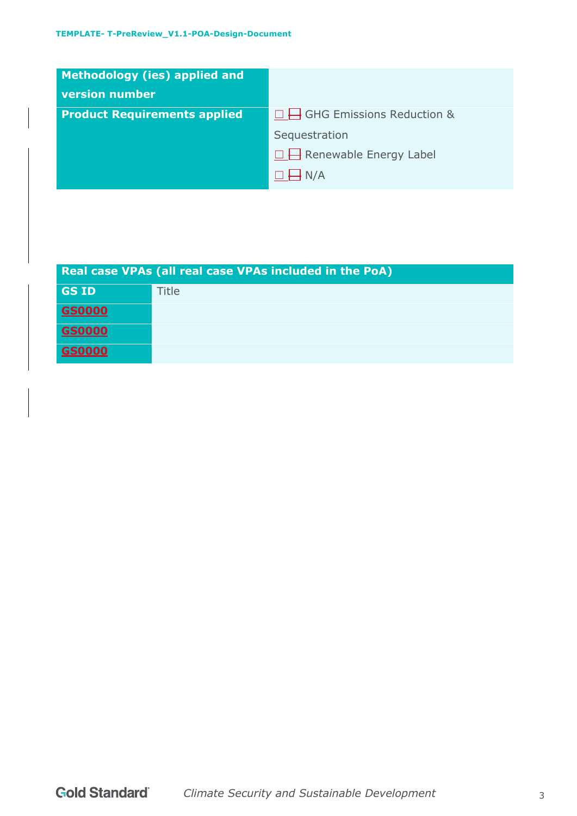| <b>Methodology (ies) applied and</b><br><b>version number</b> |                                  |
|---------------------------------------------------------------|----------------------------------|
| <b>Product Requirements applied</b>                           | $\Box$ GHG Emissions Reduction & |
|                                                               | Sequestration                    |
|                                                               | $\Box$ Renewable Energy Label    |
|                                                               | $H_{N/A}$                        |

| Real case VPAs (all real case VPAs included in the PoA) |       |  |
|---------------------------------------------------------|-------|--|
| <b>GS ID</b>                                            | Title |  |
| <b>GS0000</b>                                           |       |  |
| <b>GS0000</b>                                           |       |  |
| <b>GS0000</b>                                           |       |  |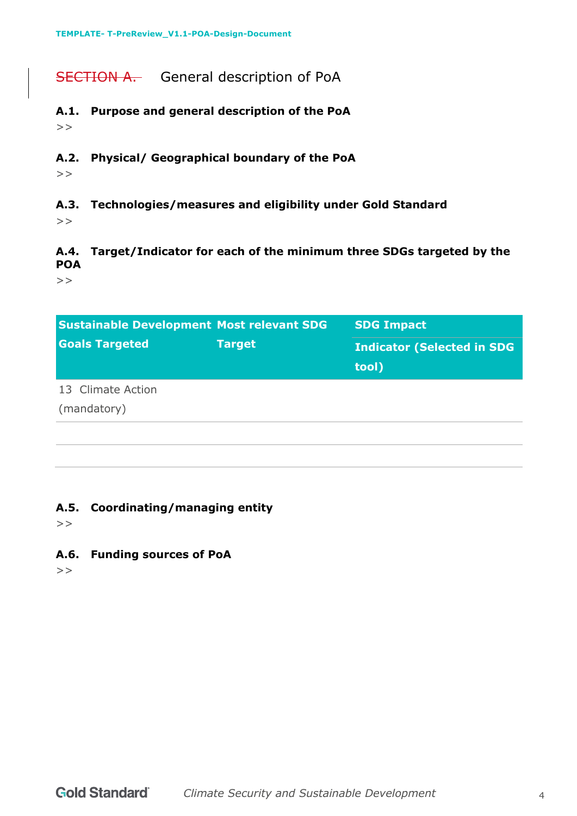## SECTION A. General description of PoA

- **A.1. Purpose and general description of the PoA**  $>$
- **A.2. Physical/ Geographical boundary of the PoA**

 $>$ 

**A.3. Technologies/measures and eligibility under Gold Standard**

 $>$ 

**A.4. Target/Indicator for each of the minimum three SDGs targeted by the POA** 

 $>$ 

| <b>Sustainable Development Most relevant SDG</b> |               | <b>SDG Impact</b>                          |
|--------------------------------------------------|---------------|--------------------------------------------|
| <b>Goals Targeted</b>                            | <b>Target</b> | <b>Indicator (Selected in SDG</b><br>tool) |
| 13 Climate Action                                |               |                                            |
| (mandatory)                                      |               |                                            |
|                                                  |               |                                            |

#### **A.5. Coordinating/managing entity**

 $>$ 

**A.6. Funding sources of PoA**

 $>$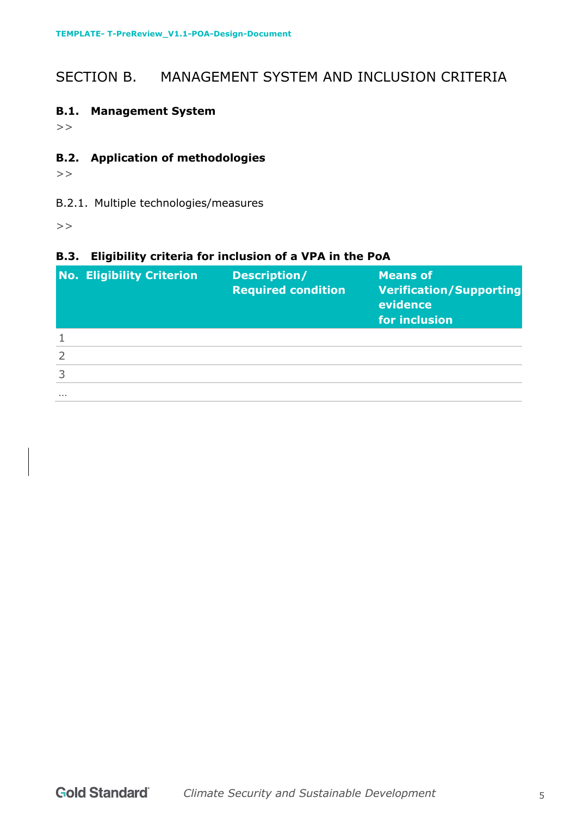## SECTION B. MANAGEMENT SYSTEM AND INCLUSION CRITERIA

### **B.1. Management System**

 $>$ 

## **B.2. Application of methodologies**

 $>$ 

### B.2.1. Multiple technologies/measures

 $>$ 

### **B.3. Eligibility criteria for inclusion of a VPA in the PoA**

|                | <b>No. Eligibility Criterion</b> | Description/<br><b>Required condition</b> | <b>Means of</b><br><b>Verification/Supporting</b><br>evidence<br>for inclusion |
|----------------|----------------------------------|-------------------------------------------|--------------------------------------------------------------------------------|
|                |                                  |                                           |                                                                                |
| $\overline{2}$ |                                  |                                           |                                                                                |
| 3              |                                  |                                           |                                                                                |
| $\cdots$       |                                  |                                           |                                                                                |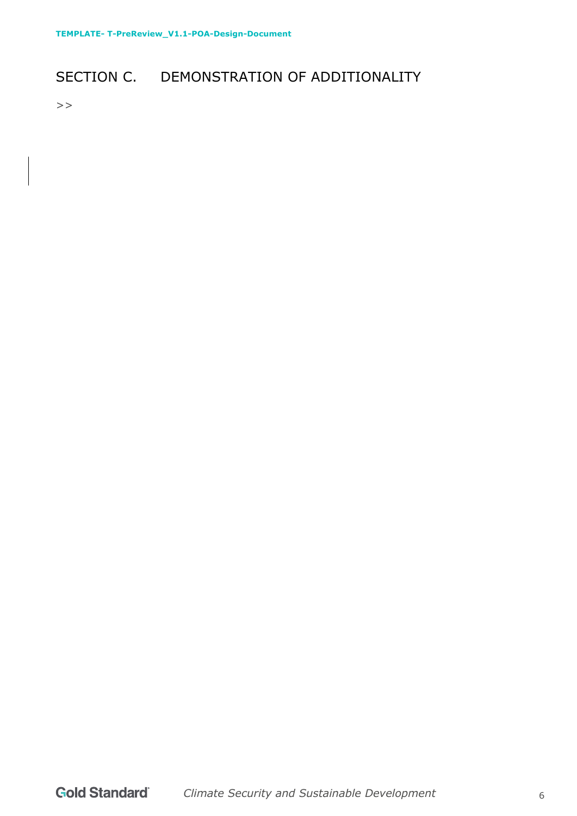## SECTION C. DEMONSTRATION OF ADDITIONALITY

 $>$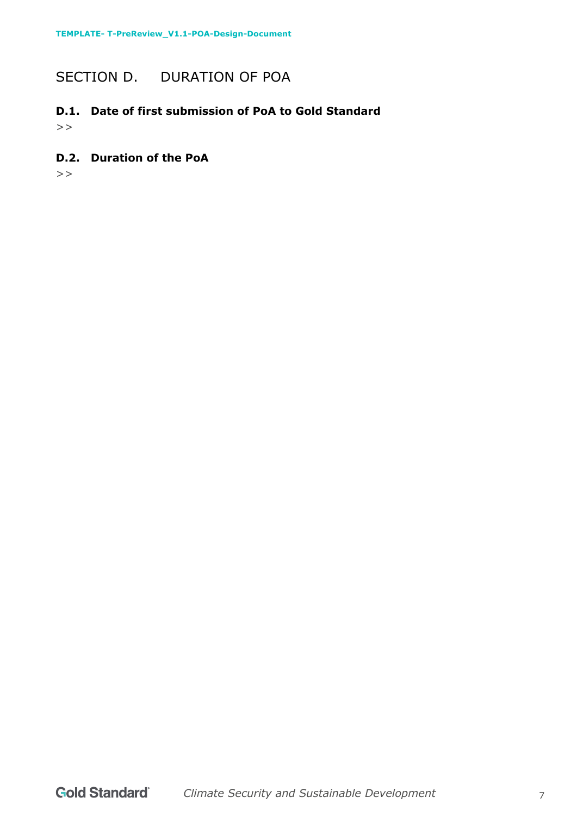## SECTION D. DURATION OF POA

## **D.1. Date of first submission of PoA to Gold Standard**

 $>$ 

#### **D.2. Duration of the PoA**

 $>$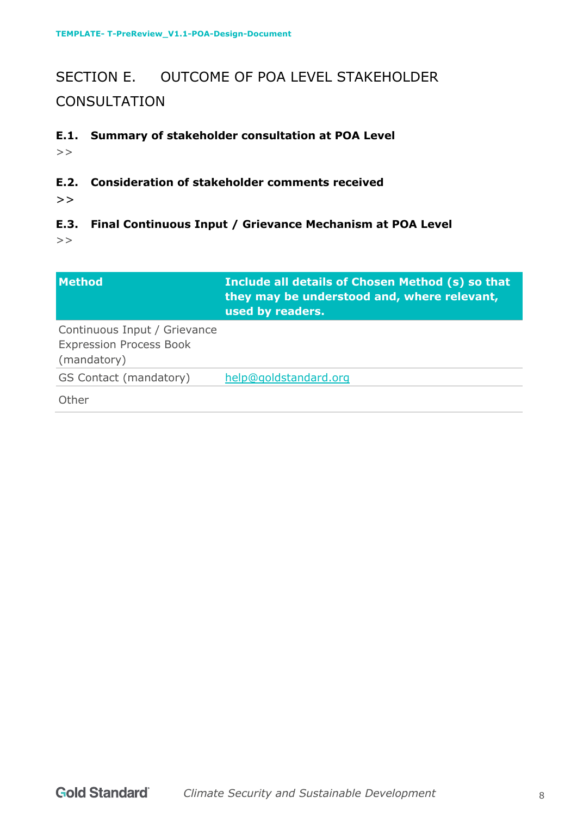## SECTION E. OUTCOME OF POA LEVEL STAKEHOLDER **CONSULTATION**

## **E.1. Summary of stakeholder consultation at POA Level**

 $>$ 

### **E.2. Consideration of stakeholder comments received**

 $\gt$ 

## **E.3. Final Continuous Input / Grievance Mechanism at POA Level**

 $\gt$ 

| <b>Method</b>                                                                 | Include all details of Chosen Method (s) so that<br>they may be understood and, where relevant,<br>used by readers. |
|-------------------------------------------------------------------------------|---------------------------------------------------------------------------------------------------------------------|
| Continuous Input / Grievance<br><b>Expression Process Book</b><br>(mandatory) |                                                                                                                     |
| GS Contact (mandatory)                                                        | help@goldstandard.org                                                                                               |
| Other                                                                         |                                                                                                                     |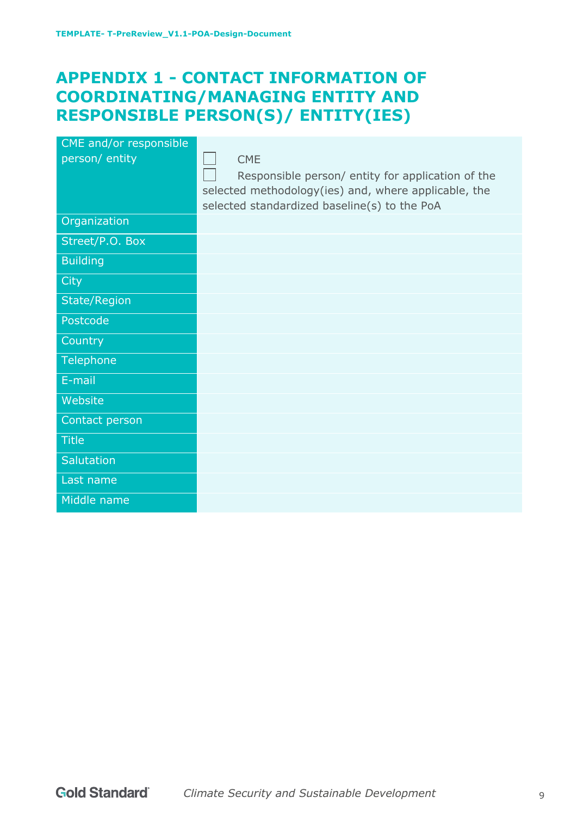## **APPENDIX 1 - CONTACT INFORMATION OF COORDINATING/MANAGING ENTITY AND RESPONSIBLE PERSON(S)/ ENTITY(IES)**

| CME and/or responsible<br>person/ entity | <b>CME</b><br>Responsible person/ entity for application of the<br>selected methodology(ies) and, where applicable, the<br>selected standardized baseline(s) to the PoA |
|------------------------------------------|-------------------------------------------------------------------------------------------------------------------------------------------------------------------------|
| Organization                             |                                                                                                                                                                         |
| Street/P.O. Box                          |                                                                                                                                                                         |
| <b>Building</b>                          |                                                                                                                                                                         |
| City                                     |                                                                                                                                                                         |
| <b>State/Region</b>                      |                                                                                                                                                                         |
| Postcode                                 |                                                                                                                                                                         |
| Country                                  |                                                                                                                                                                         |
| Telephone                                |                                                                                                                                                                         |
| E-mail                                   |                                                                                                                                                                         |
| Website                                  |                                                                                                                                                                         |
| Contact person                           |                                                                                                                                                                         |
| <b>Title</b>                             |                                                                                                                                                                         |
| Salutation                               |                                                                                                                                                                         |
| Last name                                |                                                                                                                                                                         |
| Middle name                              |                                                                                                                                                                         |